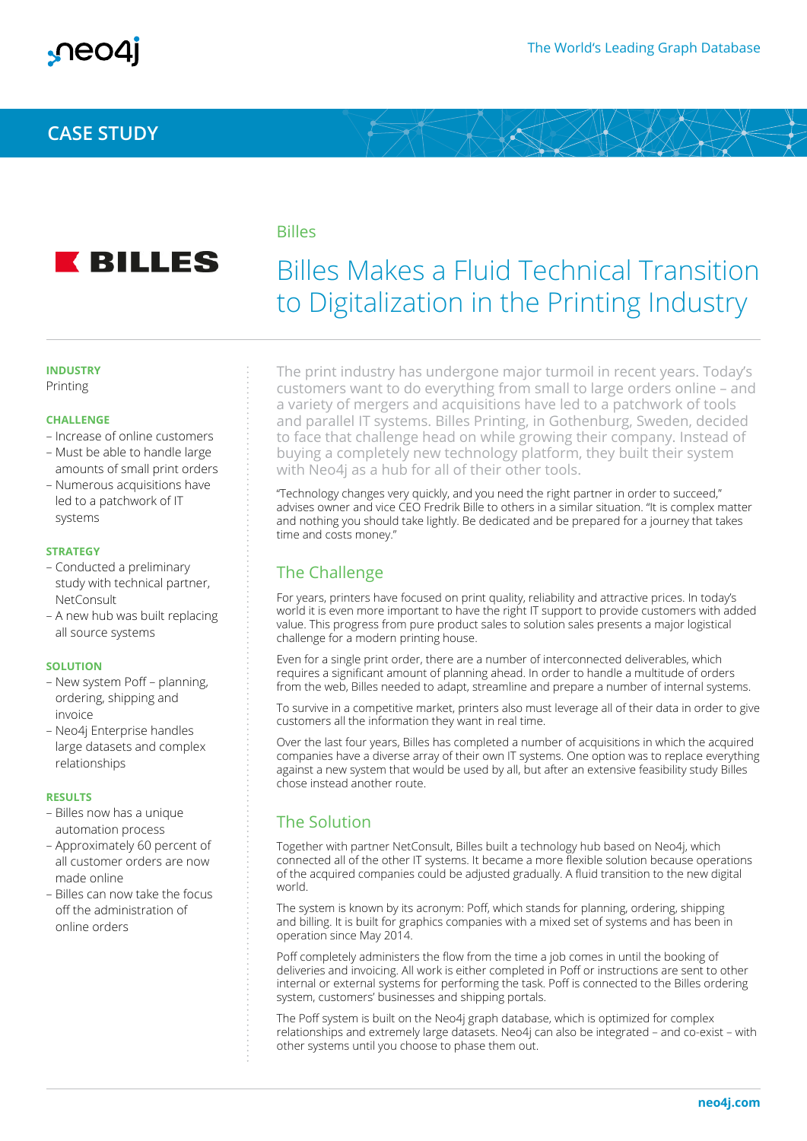# **CASE STUDY**



### Billes

# Billes Makes a Fluid Technical Transition to Digitalization in the Printing Industry

#### **INDUSTRY**

Printing

#### **CHALLENGE**

- Increase of online customers
- Must be able to handle large amounts of small print orders
- Numerous acquisitions have led to a patchwork of IT systems

#### **STRATEGY**

- Conducted a preliminary study with technical partner, **NetConsult**
- A new hub was built replacing all source systems

#### **SOLUTION**

- New system Poff planning, ordering, shipping and invoice
- Neo4j Enterprise handles large datasets and complex relationships

#### **RESULTS**

- Billes now has a unique automation process
- Approximately 60 percent of all customer orders are now made online
- Billes can now take the focus off the administration of online orders

The print industry has undergone major turmoil in recent years. Today's customers want to do everything from small to large orders online – and a variety of mergers and acquisitions have led to a patchwork of tools and parallel IT systems. Billes Printing, in Gothenburg, Sweden, decided to face that challenge head on while growing their company. Instead of buying a completely new technology platform, they built their system with Neo4j as a hub for all of their other tools.

"Technology changes very quickly, and you need the right partner in order to succeed," advises owner and vice CEO Fredrik Bille to others in a similar situation. "It is complex matter and nothing you should take lightly. Be dedicated and be prepared for a journey that takes time and costs money."

# The Challenge

For years, printers have focused on print quality, reliability and attractive prices. In today's world it is even more important to have the right IT support to provide customers with added value. This progress from pure product sales to solution sales presents a major logistical challenge for a modern printing house.

Even for a single print order, there are a number of interconnected deliverables, which requires a significant amount of planning ahead. In order to handle a multitude of orders from the web, Billes needed to adapt, streamline and prepare a number of internal systems.

To survive in a competitive market, printers also must leverage all of their data in order to give customers all the information they want in real time.

Over the last four years, Billes has completed a number of acquisitions in which the acquired companies have a diverse array of their own IT systems. One option was to replace everything against a new system that would be used by all, but after an extensive feasibility study Billes chose instead another route.

## The Solution

Together with partner NetConsult, Billes built a technology hub based on Neo4j, which connected all of the other IT systems. It became a more flexible solution because operations of the acquired companies could be adjusted gradually. A fluid transition to the new digital world.

The system is known by its acronym: Poff, which stands for planning, ordering, shipping and billing. It is built for graphics companies with a mixed set of systems and has been in operation since May 2014.

Poff completely administers the flow from the time a job comes in until the booking of deliveries and invoicing. All work is either completed in Poff or instructions are sent to other internal or external systems for performing the task. Poff is connected to the Billes ordering system, customers' businesses and shipping portals.

The Poff system is built on the Neo4j graph database, which is optimized for complex relationships and extremely large datasets. Neo4j can also be integrated – and co-exist – with other systems until you choose to phase them out.